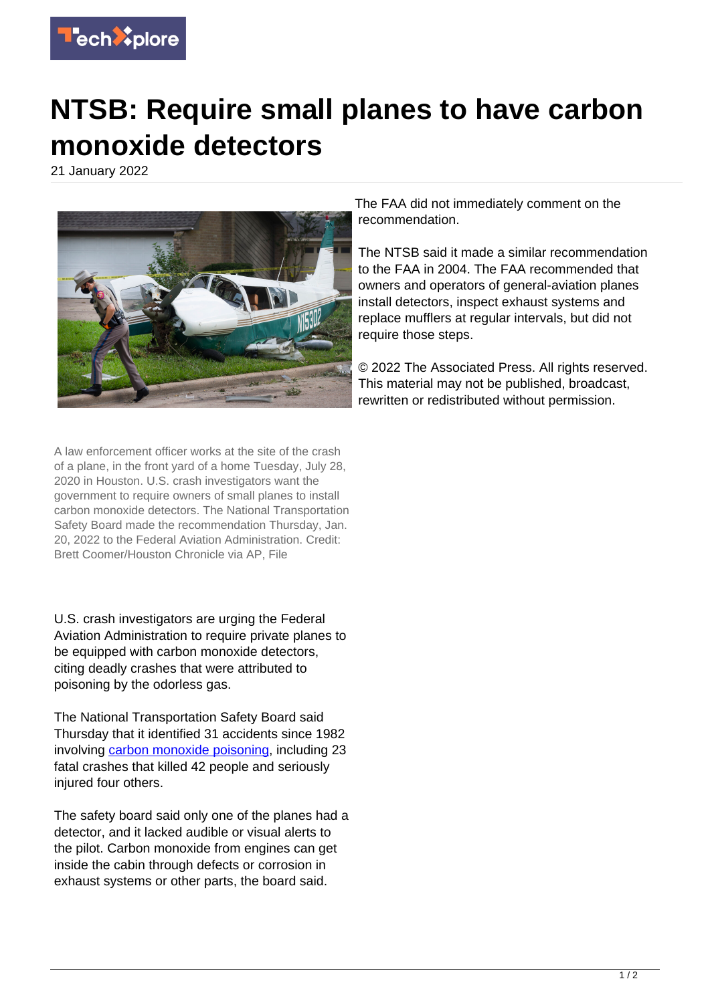

## **NTSB: Require small planes to have carbon monoxide detectors**

21 January 2022



The FAA did not immediately comment on the recommendation.

The NTSB said it made a similar recommendation to the FAA in 2004. The FAA recommended that owners and operators of general-aviation planes install detectors, inspect exhaust systems and replace mufflers at regular intervals, but did not require those steps.

© 2022 The Associated Press. All rights reserved. This material may not be published, broadcast, rewritten or redistributed without permission.

A law enforcement officer works at the site of the crash of a plane, in the front yard of a home Tuesday, July 28, 2020 in Houston. U.S. crash investigators want the government to require owners of small planes to install carbon monoxide detectors. The National Transportation Safety Board made the recommendation Thursday, Jan. 20, 2022 to the Federal Aviation Administration. Credit: Brett Coomer/Houston Chronicle via AP, File

U.S. crash investigators are urging the Federal Aviation Administration to require private planes to be equipped with carbon monoxide detectors, citing deadly crashes that were attributed to poisoning by the odorless gas.

The National Transportation Safety Board said Thursday that it identified 31 accidents since 1982 involving [carbon monoxide poisoning,](https://techxplore.com/tags/carbon+monoxide+poisoning/) including 23 fatal crashes that killed 42 people and seriously injured four others.

The safety board said only one of the planes had a detector, and it lacked audible or visual alerts to the pilot. Carbon monoxide from engines can get inside the cabin through defects or corrosion in exhaust systems or other parts, the board said.